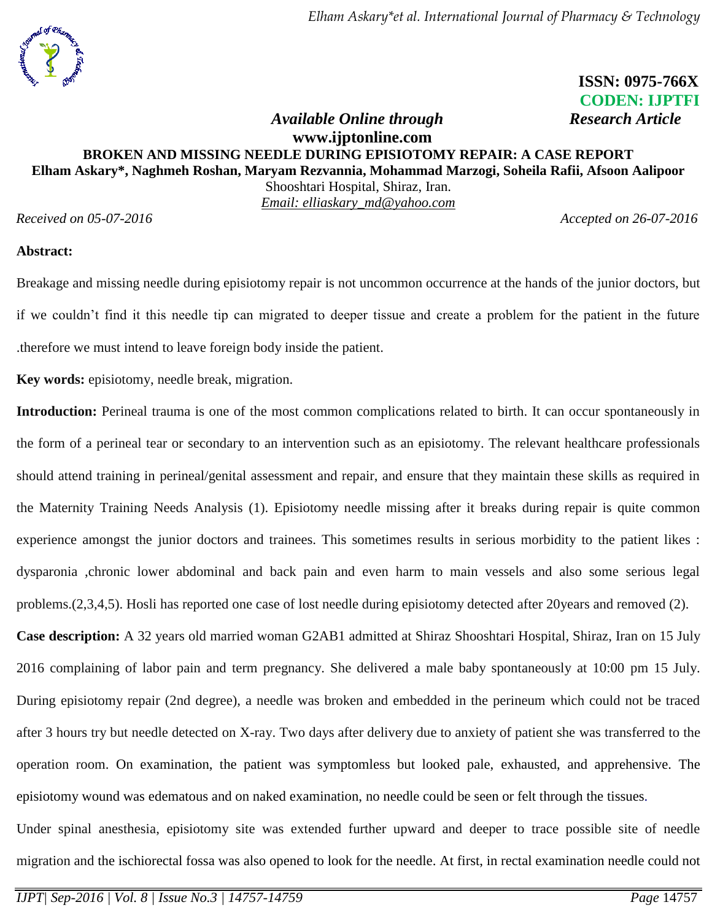# **ISSN: 0975-766X CODEN: IJPTFI**

#### *<i>Available Online through* Research Article **www.ijptonline.com BROKEN AND MISSING NEEDLE DURING EPISIOTOMY REPAIR: A CASE REPORT Elham Askary\*, Naghmeh Roshan, Maryam Rezvannia, Mohammad Marzogi, Soheila Rafii, Afsoon Aalipoor** Shooshtari Hospital, Shiraz, Iran.

*Email: elliaskary\_md@yahoo.com*

*Received on 05-07-2016 Accepted on 26-07-2016*

#### **Abstract:**

Breakage and missing needle during episiotomy repair is not uncommon occurrence at the hands of the junior doctors, but if we couldn't find it this needle tip can migrated to deeper tissue and create a problem for the patient in the future .therefore we must intend to leave foreign body inside the patient.

**Key words:** episiotomy, needle break, migration.

**Introduction:** Perineal trauma is one of the most common complications related to birth. It can occur spontaneously in the form of a perineal tear or secondary to an intervention such as an episiotomy. The relevant healthcare professionals should attend training in perineal/genital assessment and repair, and ensure that they maintain these skills as required in the Maternity Training Needs Analysis (1). Episiotomy needle missing after it breaks during repair is quite common experience amongst the junior doctors and trainees. This sometimes results in serious morbidity to the patient likes : dysparonia ,chronic lower abdominal and back pain and even harm to main vessels and also some serious legal problems.(2,3,4,5). Hosli has reported one case of lost needle during episiotomy detected after 20years and removed (2).

**Case description:** A 32 years old married woman G2AB1 admitted at Shiraz Shooshtari Hospital, Shiraz, Iran on 15 July 2016 complaining of labor pain and term pregnancy. She delivered a male baby spontaneously at 10:00 pm 15 July. During episiotomy repair (2nd degree), a needle was broken and embedded in the perineum which could not be traced after 3 hours try but needle detected on X-ray. Two days after delivery due to anxiety of patient she was transferred to the operation room. On examination, the patient was symptomless but looked pale, exhausted, and apprehensive. The episiotomy wound was edematous and on naked examination, no needle could be seen or felt through the tissues.

Under spinal anesthesia, episiotomy site was extended further upward and deeper to trace possible site of needle migration and the ischiorectal fossa was also opened to look for the needle. At first, in rectal examination needle could not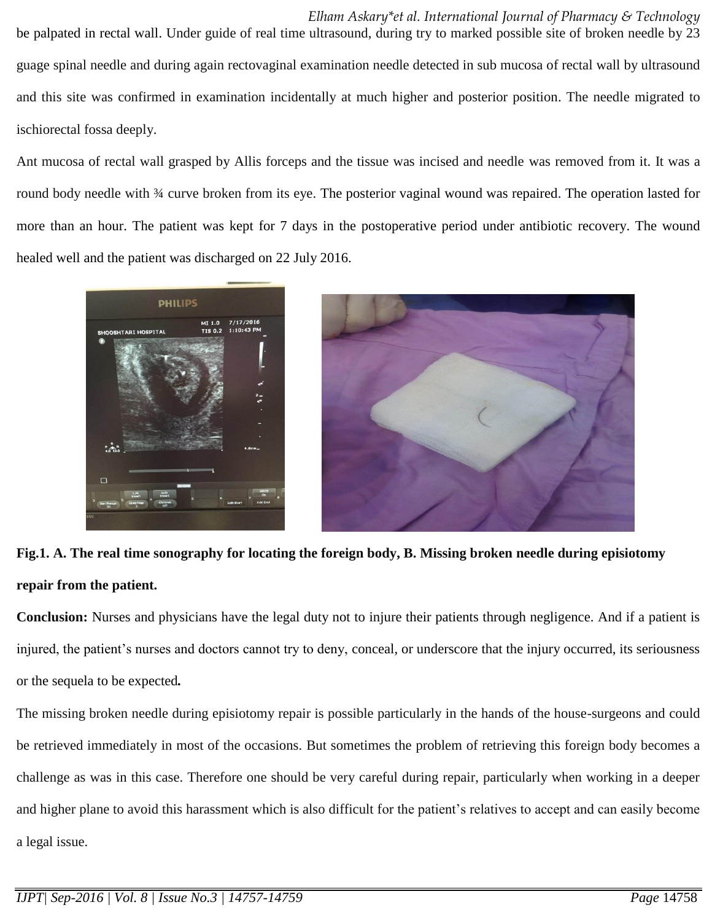*Elham Askary\*et al. International Journal of Pharmacy & Technology* be palpated in rectal wall. Under guide of real time ultrasound, during try to marked possible site of broken needle by 23 guage spinal needle and during again rectovaginal examination needle detected in sub mucosa of rectal wall by ultrasound and this site was confirmed in examination incidentally at much higher and posterior position. The needle migrated to ischiorectal fossa deeply.

Ant mucosa of rectal wall grasped by Allis forceps and the tissue was incised and needle was removed from it. It was a round body needle with ¾ curve broken from its eye. The posterior vaginal wound was repaired. The operation lasted for more than an hour. The patient was kept for 7 days in the postoperative period under antibiotic recovery. The wound healed well and the patient was discharged on 22 July 2016.



**Fig.1. A. The real time sonography for locating the foreign body, B. Missing broken needle during episiotomy repair from the patient.**

**Conclusion:** Nurses and physicians have the legal duty not to injure their patients through negligence. And if a patient is injured, the patient's nurses and doctors cannot try to deny, conceal, or underscore that the injury occurred, its seriousness or the sequela to be expected*.*

The missing broken needle during episiotomy repair is possible particularly in the hands of the house-surgeons and could be retrieved immediately in most of the occasions. But sometimes the problem of retrieving this foreign body becomes a challenge as was in this case. Therefore one should be very careful during repair, particularly when working in a deeper and higher plane to avoid this harassment which is also difficult for the patient's relatives to accept and can easily become a legal issue.